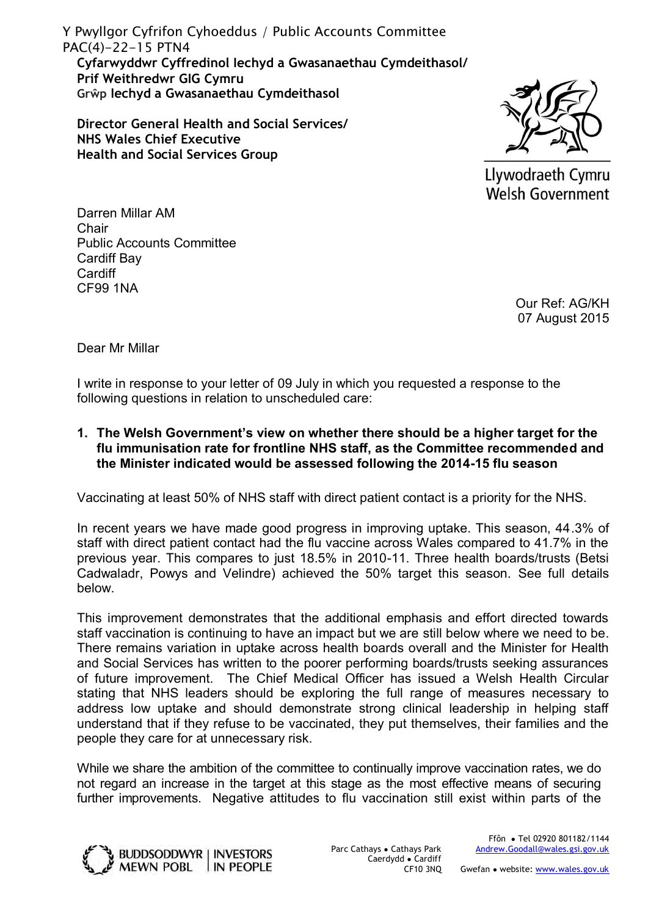**Cyfarwyddwr Cyffredinol Iechyd a Gwasanaethau Cymdeithasol/ Prif Weithredwr GIG Cymru Grŵp Iechyd a Gwasanaethau Cymdeithasol** Y Pwyllgor Cyfrifon Cyhoeddus / Public Accounts Committee PAC(4)-22-15 PTN4

**Director General Health and Social Services/ NHS Wales Chief Executive Health and Social Services Group**



Llywodraeth Cymru **Welsh Government** 

Darren Millar AM **Chair** Public Accounts Committee Cardiff Bay **Cardiff** CF99 1NA

> Our Ref: AG/KH 07 August 2015

Dear Mr Millar

I write in response to your letter of 09 July in which you requested a response to the following questions in relation to unscheduled care:

**1. The Welsh Government's view on whether there should be a higher target for the flu immunisation rate for frontline NHS staff, as the Committee recommended and the Minister indicated would be assessed following the 2014-15 flu season** 

Vaccinating at least 50% of NHS staff with direct patient contact is a priority for the NHS.

In recent years we have made good progress in improving uptake. This season, 44.3% of staff with direct patient contact had the flu vaccine across Wales compared to 41.7% in the previous year. This compares to just 18.5% in 2010-11. Three health boards/trusts (Betsi Cadwaladr, Powys and Velindre) achieved the 50% target this season. See full details below.

This improvement demonstrates that the additional emphasis and effort directed towards staff vaccination is continuing to have an impact but we are still below where we need to be. There remains variation in uptake across health boards overall and the Minister for Health and Social Services has written to the poorer performing boards/trusts seeking assurances of future improvement. The Chief Medical Officer has issued a Welsh Health Circular stating that NHS leaders should be exploring the full range of measures necessary to address low uptake and should demonstrate strong clinical leadership in helping staff understand that if they refuse to be vaccinated, they put themselves, their families and the people they care for at unnecessary risk.

While we share the ambition of the committee to continually improve vaccination rates, we do not regard an increase in the target at this stage as the most effective means of securing further improvements. Negative attitudes to flu vaccination still exist within parts of the



Parc Cathays ● Cathays Park Caerdydd ● Cardiff CF10 3NQ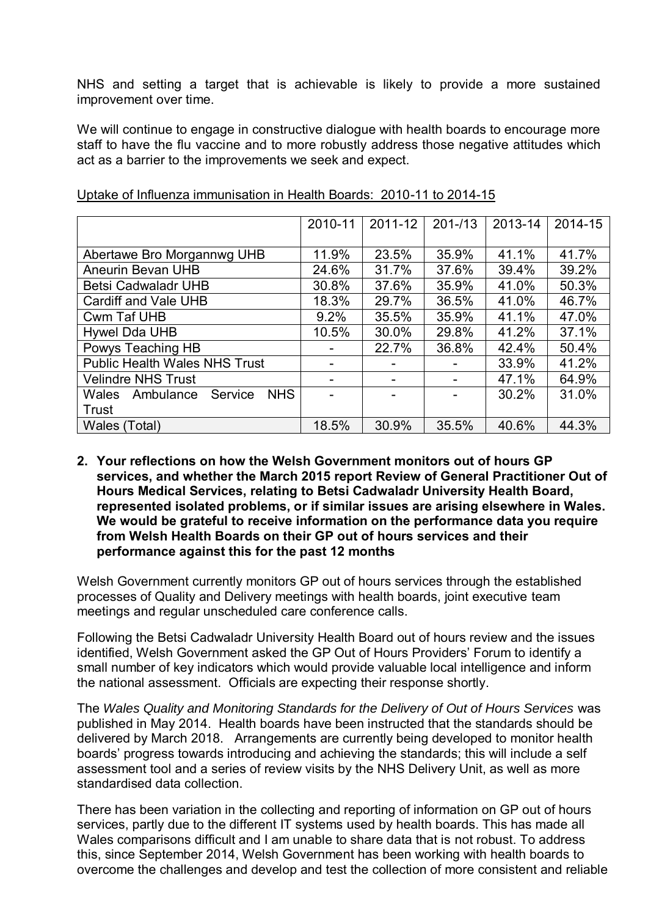NHS and setting a target that is achievable is likely to provide a more sustained improvement over time.

We will continue to engage in constructive dialogue with health boards to encourage more staff to have the flu vaccine and to more robustly address those negative attitudes which act as a barrier to the improvements we seek and expect.

|                                             | 2010-11 | 2011-12                  | $201 - 13$ | 2013-14 | 2014-15 |
|---------------------------------------------|---------|--------------------------|------------|---------|---------|
|                                             |         |                          |            |         |         |
| Abertawe Bro Morgannwg UHB                  | 11.9%   | 23.5%                    | 35.9%      | 41.1%   | 41.7%   |
| Aneurin Bevan UHB                           | 24.6%   | 31.7%                    | 37.6%      | 39.4%   | 39.2%   |
| <b>Betsi Cadwaladr UHB</b>                  | 30.8%   | 37.6%                    | 35.9%      | 41.0%   | 50.3%   |
| <b>Cardiff and Vale UHB</b>                 | 18.3%   | 29.7%                    | 36.5%      | 41.0%   | 46.7%   |
| <b>Cwm Taf UHB</b>                          | 9.2%    | 35.5%                    | 35.9%      | 41.1%   | 47.0%   |
| Hywel Dda UHB                               | 10.5%   | 30.0%                    | 29.8%      | 41.2%   | 37.1%   |
| Powys Teaching HB                           |         | 22.7%                    | 36.8%      | 42.4%   | 50.4%   |
| <b>Public Health Wales NHS Trust</b>        |         | $\overline{\phantom{0}}$ |            | 33.9%   | 41.2%   |
| <b>Velindre NHS Trust</b>                   |         |                          |            | 47.1%   | 64.9%   |
| <b>NHS</b><br>Service<br>Wales<br>Ambulance |         |                          |            | 30.2%   | 31.0%   |
| Trust                                       |         |                          |            |         |         |
| Wales (Total)                               | 18.5%   | 30.9%                    | 35.5%      | 40.6%   | 44.3%   |

Uptake of Influenza immunisation in Health Boards: 2010-11 to 2014-15

**2. Your reflections on how the Welsh Government monitors out of hours GP services, and whether the March 2015 report Review of General Practitioner Out of Hours Medical Services, relating to Betsi Cadwaladr University Health Board, represented isolated problems, or if similar issues are arising elsewhere in Wales. We would be grateful to receive information on the performance data you require from Welsh Health Boards on their GP out of hours services and their performance against this for the past 12 months** 

Welsh Government currently monitors GP out of hours services through the established processes of Quality and Delivery meetings with health boards, joint executive team meetings and regular unscheduled care conference calls.

Following the Betsi Cadwaladr University Health Board out of hours review and the issues identified, Welsh Government asked the GP Out of Hours Providers' Forum to identify a small number of key indicators which would provide valuable local intelligence and inform the national assessment. Officials are expecting their response shortly.

The *Wales Quality and Monitoring Standards for the Delivery of Out of Hours Services* was published in May 2014. Health boards have been instructed that the standards should be delivered by March 2018. Arrangements are currently being developed to monitor health boards' progress towards introducing and achieving the standards; this will include a self assessment tool and a series of review visits by the NHS Delivery Unit, as well as more standardised data collection.

There has been variation in the collecting and reporting of information on GP out of hours services, partly due to the different IT systems used by health boards. This has made all Wales comparisons difficult and I am unable to share data that is not robust. To address this, since September 2014, Welsh Government has been working with health boards to overcome the challenges and develop and test the collection of more consistent and reliable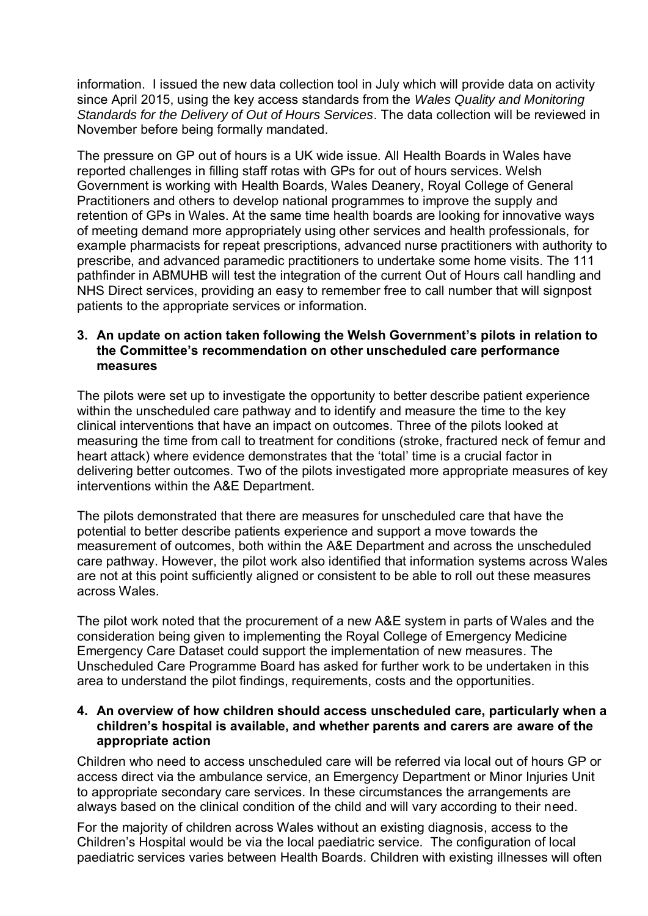information. I issued the new data collection tool in July which will provide data on activity since April 2015, using the key access standards from the *Wales Quality and Monitoring Standards for the Delivery of Out of Hours Services*. The data collection will be reviewed in November before being formally mandated.

The pressure on GP out of hours is a UK wide issue. All Health Boards in Wales have reported challenges in filling staff rotas with GPs for out of hours services. Welsh Government is working with Health Boards, Wales Deanery, Royal College of General Practitioners and others to develop national programmes to improve the supply and retention of GPs in Wales. At the same time health boards are looking for innovative ways of meeting demand more appropriately using other services and health professionals, for example pharmacists for repeat prescriptions, advanced nurse practitioners with authority to prescribe, and advanced paramedic practitioners to undertake some home visits. The 111 pathfinder in ABMUHB will test the integration of the current Out of Hours call handling and NHS Direct services, providing an easy to remember free to call number that will signpost patients to the appropriate services or information.

# **3. An update on action taken following the Welsh Government's pilots in relation to the Committee's recommendation on other unscheduled care performance measures**

The pilots were set up to investigate the opportunity to better describe patient experience within the unscheduled care pathway and to identify and measure the time to the key clinical interventions that have an impact on outcomes. Three of the pilots looked at measuring the time from call to treatment for conditions (stroke, fractured neck of femur and heart attack) where evidence demonstrates that the 'total' time is a crucial factor in delivering better outcomes. Two of the pilots investigated more appropriate measures of key interventions within the A&E Department.

The pilots demonstrated that there are measures for unscheduled care that have the potential to better describe patients experience and support a move towards the measurement of outcomes, both within the A&E Department and across the unscheduled care pathway. However, the pilot work also identified that information systems across Wales are not at this point sufficiently aligned or consistent to be able to roll out these measures across Wales.

The pilot work noted that the procurement of a new A&E system in parts of Wales and the consideration being given to implementing the Royal College of Emergency Medicine Emergency Care Dataset could support the implementation of new measures. The Unscheduled Care Programme Board has asked for further work to be undertaken in this area to understand the pilot findings, requirements, costs and the opportunities.

## **4. An overview of how children should access unscheduled care, particularly when a children's hospital is available, and whether parents and carers are aware of the appropriate action**

Children who need to access unscheduled care will be referred via local out of hours GP or access direct via the ambulance service, an Emergency Department or Minor Injuries Unit to appropriate secondary care services. In these circumstances the arrangements are always based on the clinical condition of the child and will vary according to their need.

For the majority of children across Wales without an existing diagnosis, access to the Children's Hospital would be via the local paediatric service. The configuration of local paediatric services varies between Health Boards. Children with existing illnesses will often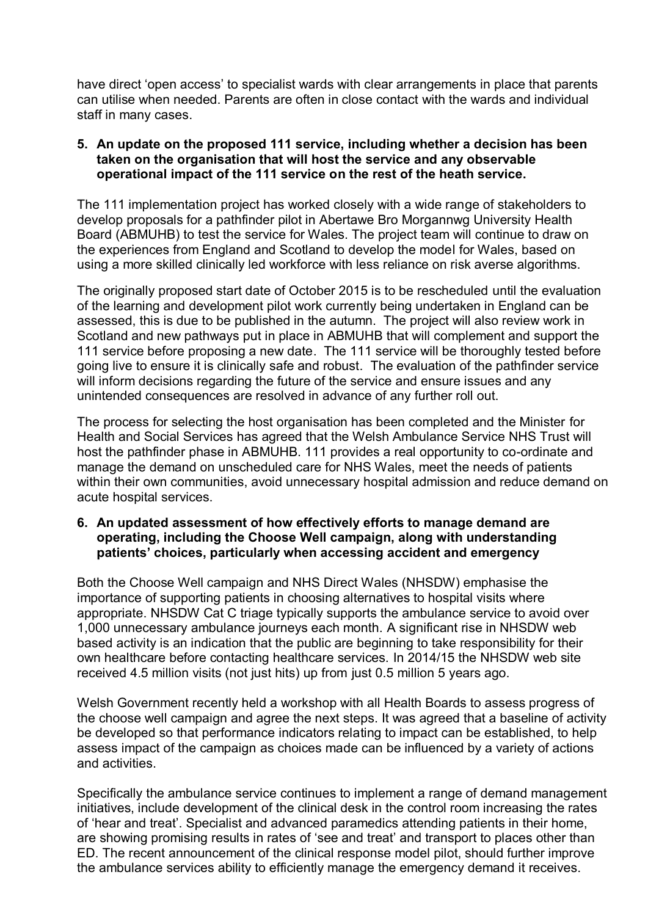have direct 'open access' to specialist wards with clear arrangements in place that parents can utilise when needed. Parents are often in close contact with the wards and individual staff in many cases.

## **5. An update on the proposed 111 service, including whether a decision has been taken on the organisation that will host the service and any observable operational impact of the 111 service on the rest of the heath service.**

The 111 implementation project has worked closely with a wide range of stakeholders to develop proposals for a pathfinder pilot in Abertawe Bro Morgannwg University Health Board (ABMUHB) to test the service for Wales. The project team will continue to draw on the experiences from England and Scotland to develop the model for Wales, based on using a more skilled clinically led workforce with less reliance on risk averse algorithms.

The originally proposed start date of October 2015 is to be rescheduled until the evaluation of the learning and development pilot work currently being undertaken in England can be assessed, this is due to be published in the autumn. The project will also review work in Scotland and new pathways put in place in ABMUHB that will complement and support the 111 service before proposing a new date. The 111 service will be thoroughly tested before going live to ensure it is clinically safe and robust. The evaluation of the pathfinder service will inform decisions regarding the future of the service and ensure issues and any unintended consequences are resolved in advance of any further roll out.

The process for selecting the host organisation has been completed and the Minister for Health and Social Services has agreed that the Welsh Ambulance Service NHS Trust will host the pathfinder phase in ABMUHB. 111 provides a real opportunity to co-ordinate and manage the demand on unscheduled care for NHS Wales, meet the needs of patients within their own communities, avoid unnecessary hospital admission and reduce demand on acute hospital services.

# **6. An updated assessment of how effectively efforts to manage demand are operating, including the Choose Well campaign, along with understanding patients' choices, particularly when accessing accident and emergency**

Both the Choose Well campaign and NHS Direct Wales (NHSDW) emphasise the importance of supporting patients in choosing alternatives to hospital visits where appropriate. NHSDW Cat C triage typically supports the ambulance service to avoid over 1,000 unnecessary ambulance journeys each month. A significant rise in NHSDW web based activity is an indication that the public are beginning to take responsibility for their own healthcare before contacting healthcare services. In 2014/15 the NHSDW web site received 4.5 million visits (not just hits) up from just 0.5 million 5 years ago.

Welsh Government recently held a workshop with all Health Boards to assess progress of the choose well campaign and agree the next steps. It was agreed that a baseline of activity be developed so that performance indicators relating to impact can be established, to help assess impact of the campaign as choices made can be influenced by a variety of actions and activities.

Specifically the ambulance service continues to implement a range of demand management initiatives, include development of the clinical desk in the control room increasing the rates of 'hear and treat'. Specialist and advanced paramedics attending patients in their home, are showing promising results in rates of 'see and treat' and transport to places other than ED. The recent announcement of the clinical response model pilot, should further improve the ambulance services ability to efficiently manage the emergency demand it receives.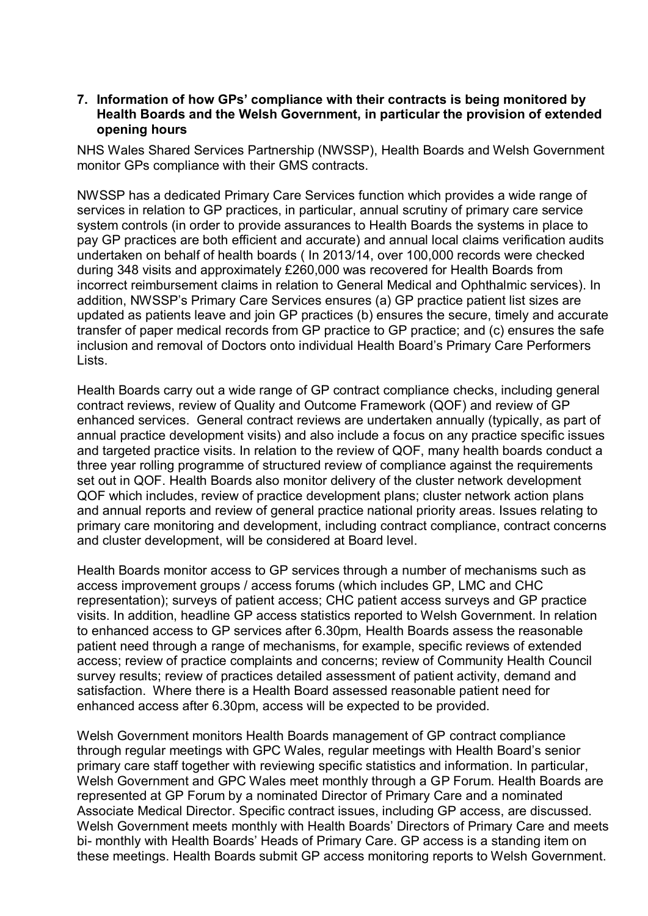### **7. Information of how GPs' compliance with their contracts is being monitored by Health Boards and the Welsh Government, in particular the provision of extended opening hours**

NHS Wales Shared Services Partnership (NWSSP), Health Boards and Welsh Government monitor GPs compliance with their GMS contracts.

NWSSP has a dedicated Primary Care Services function which provides a wide range of services in relation to GP practices, in particular, annual scrutiny of primary care service system controls (in order to provide assurances to Health Boards the systems in place to pay GP practices are both efficient and accurate) and annual local claims verification audits undertaken on behalf of health boards ( In 2013/14, over 100,000 records were checked during 348 visits and approximately £260,000 was recovered for Health Boards from incorrect reimbursement claims in relation to General Medical and Ophthalmic services). In addition, NWSSP's Primary Care Services ensures (a) GP practice patient list sizes are updated as patients leave and join GP practices (b) ensures the secure, timely and accurate transfer of paper medical records from GP practice to GP practice; and (c) ensures the safe inclusion and removal of Doctors onto individual Health Board's Primary Care Performers Lists.

Health Boards carry out a wide range of GP contract compliance checks, including general contract reviews, review of Quality and Outcome Framework (QOF) and review of GP enhanced services. General contract reviews are undertaken annually (typically, as part of annual practice development visits) and also include a focus on any practice specific issues and targeted practice visits. In relation to the review of QOF, many health boards conduct a three year rolling programme of structured review of compliance against the requirements set out in QOF. Health Boards also monitor delivery of the cluster network development QOF which includes, review of practice development plans; cluster network action plans and annual reports and review of general practice national priority areas. Issues relating to primary care monitoring and development, including contract compliance, contract concerns and cluster development, will be considered at Board level.

Health Boards monitor access to GP services through a number of mechanisms such as access improvement groups / access forums (which includes GP, LMC and CHC representation); surveys of patient access; CHC patient access surveys and GP practice visits. In addition, headline GP access statistics reported to Welsh Government. In relation to enhanced access to GP services after 6.30pm, Health Boards assess the reasonable patient need through a range of mechanisms, for example, specific reviews of extended access; review of practice complaints and concerns; review of Community Health Council survey results; review of practices detailed assessment of patient activity, demand and satisfaction. Where there is a Health Board assessed reasonable patient need for enhanced access after 6.30pm, access will be expected to be provided.

Welsh Government monitors Health Boards management of GP contract compliance through regular meetings with GPC Wales, regular meetings with Health Board's senior primary care staff together with reviewing specific statistics and information. In particular, Welsh Government and GPC Wales meet monthly through a GP Forum. Health Boards are represented at GP Forum by a nominated Director of Primary Care and a nominated Associate Medical Director. Specific contract issues, including GP access, are discussed. Welsh Government meets monthly with Health Boards' Directors of Primary Care and meets bi- monthly with Health Boards' Heads of Primary Care. GP access is a standing item on these meetings. Health Boards submit GP access monitoring reports to Welsh Government.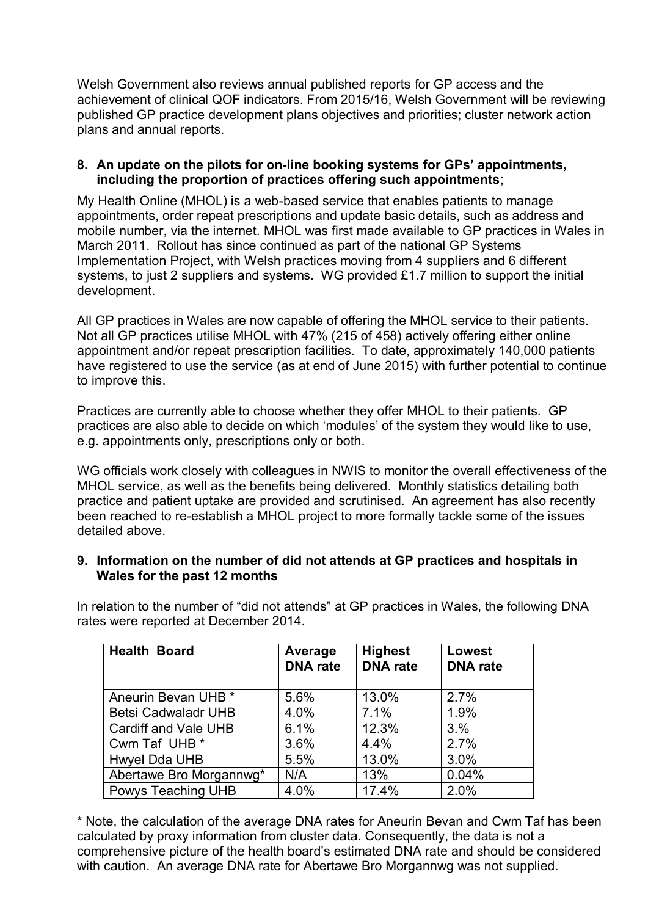Welsh Government also reviews annual published reports for GP access and the achievement of clinical QOF indicators. From 2015/16, Welsh Government will be reviewing published GP practice development plans objectives and priorities; cluster network action plans and annual reports.

## **8. An update on the pilots for on-line booking systems for GPs' appointments, including the proportion of practices offering such appointments**;

My Health Online (MHOL) is a web-based service that enables patients to manage appointments, order repeat prescriptions and update basic details, such as address and mobile number, via the internet. MHOL was first made available to GP practices in Wales in March 2011. Rollout has since continued as part of the national GP Systems Implementation Project, with Welsh practices moving from 4 suppliers and 6 different systems, to just 2 suppliers and systems. WG provided £1.7 million to support the initial development.

All GP practices in Wales are now capable of offering the MHOL service to their patients. Not all GP practices utilise MHOL with 47% (215 of 458) actively offering either online appointment and/or repeat prescription facilities. To date, approximately 140,000 patients have registered to use the service (as at end of June 2015) with further potential to continue to improve this.

Practices are currently able to choose whether they offer MHOL to their patients. GP practices are also able to decide on which 'modules' of the system they would like to use, e.g. appointments only, prescriptions only or both.

WG officials work closely with colleagues in NWIS to monitor the overall effectiveness of the MHOL service, as well as the benefits being delivered. Monthly statistics detailing both practice and patient uptake are provided and scrutinised. An agreement has also recently been reached to re-establish a MHOL project to more formally tackle some of the issues detailed above.

# **9. Information on the number of did not attends at GP practices and hospitals in Wales for the past 12 months**

In relation to the number of "did not attends" at GP practices in Wales, the following DNA rates were reported at December 2014.

| <b>Health Board</b>        | Average<br><b>DNA</b> rate | <b>Highest</b><br><b>DNA</b> rate | <b>Lowest</b><br><b>DNA</b> rate |
|----------------------------|----------------------------|-----------------------------------|----------------------------------|
| Aneurin Bevan UHB *        | 5.6%                       | 13.0%                             | 2.7%                             |
| <b>Betsi Cadwaladr UHB</b> | 4.0%                       | 7.1%                              | 1.9%                             |
| Cardiff and Vale UHB       | 6.1%                       | 12.3%                             | 3.%                              |
| Cwm Taf UHB *              | 3.6%                       | 4.4%                              | 2.7%                             |
| Hwyel Dda UHB              | 5.5%                       | 13.0%                             | 3.0%                             |
| Abertawe Bro Morgannwg*    | N/A                        | 13%                               | 0.04%                            |
| Powys Teaching UHB         | 4.0%                       | 17.4%                             | 2.0%                             |

\* Note, the calculation of the average DNA rates for Aneurin Bevan and Cwm Taf has been calculated by proxy information from cluster data. Consequently, the data is not a comprehensive picture of the health board's estimated DNA rate and should be considered with caution. An average DNA rate for Abertawe Bro Morgannwg was not supplied.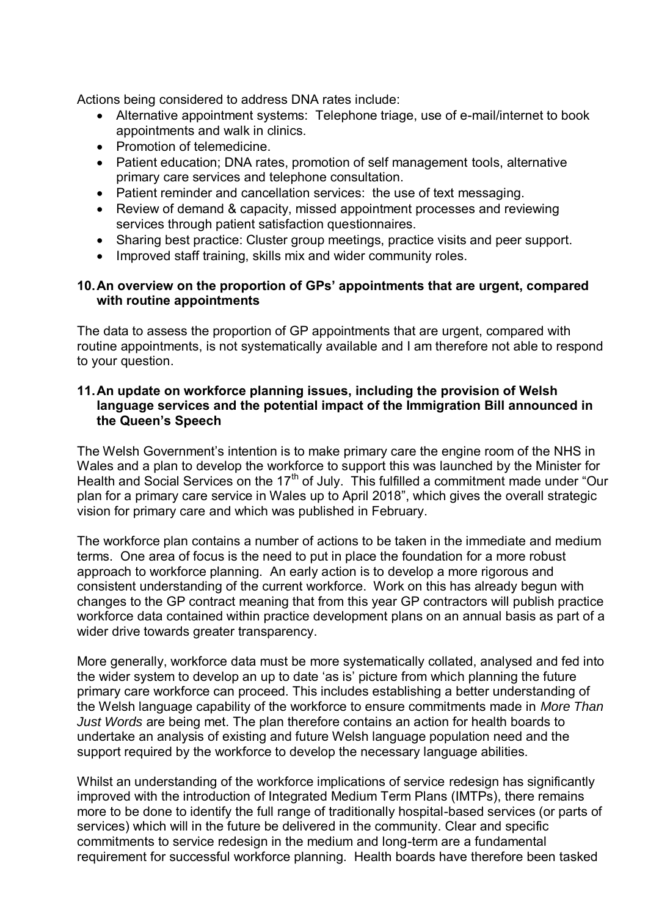Actions being considered to address DNA rates include:

- Alternative appointment systems: Telephone triage, use of e-mail/internet to book appointments and walk in clinics.
- Promotion of telemedicine.
- Patient education; DNA rates, promotion of self management tools, alternative primary care services and telephone consultation.
- Patient reminder and cancellation services: the use of text messaging.
- Review of demand & capacity, missed appointment processes and reviewing services through patient satisfaction questionnaires.
- Sharing best practice: Cluster group meetings, practice visits and peer support.
- Improved staff training, skills mix and wider community roles.

# **10. An overview on the proportion of GPs' appointments that are urgent, compared with routine appointments**

The data to assess the proportion of GP appointments that are urgent, compared with routine appointments, is not systematically available and I am therefore not able to respond to your question.

# **11. An update on workforce planning issues, including the provision of Welsh language services and the potential impact of the Immigration Bill announced in the Queen's Speech**

The Welsh Government's intention is to make primary care the engine room of the NHS in Wales and a plan to develop the workforce to support this was launched by the Minister for Health and Social Services on the  $17<sup>th</sup>$  of July. This fulfilled a commitment made under "Our plan for a primary care service in Wales up to April 2018", which gives the overall strategic vision for primary care and which was published in February.

The workforce plan contains a number of actions to be taken in the immediate and medium terms. One area of focus is the need to put in place the foundation for a more robust approach to workforce planning. An early action is to develop a more rigorous and consistent understanding of the current workforce. Work on this has already begun with changes to the GP contract meaning that from this year GP contractors will publish practice workforce data contained within practice development plans on an annual basis as part of a wider drive towards greater transparency.

More generally, workforce data must be more systematically collated, analysed and fed into the wider system to develop an up to date 'as is' picture from which planning the future primary care workforce can proceed. This includes establishing a better understanding of the Welsh language capability of the workforce to ensure commitments made in *More Than Just Words* are being met. The plan therefore contains an action for health boards to undertake an analysis of existing and future Welsh language population need and the support required by the workforce to develop the necessary language abilities.

Whilst an understanding of the workforce implications of service redesign has significantly improved with the introduction of Integrated Medium Term Plans (IMTPs), there remains more to be done to identify the full range of traditionally hospital-based services (or parts of services) which will in the future be delivered in the community. Clear and specific commitments to service redesign in the medium and long-term are a fundamental requirement for successful workforce planning. Health boards have therefore been tasked